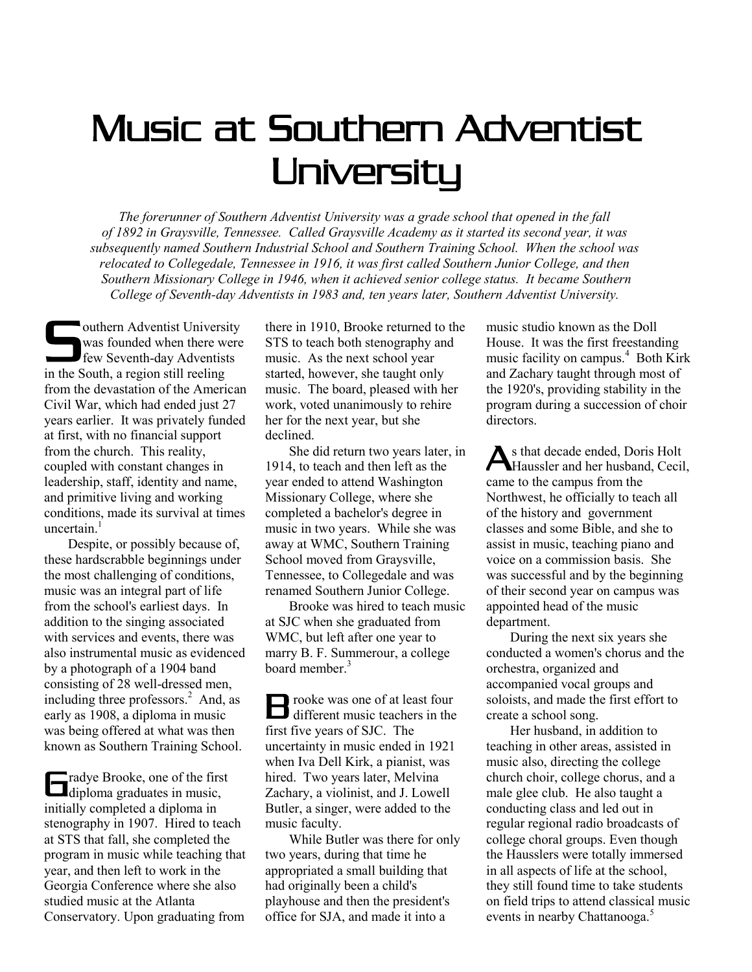## Music at Southern Adventist **University**

*The forerunner of Southern Adventist University was a grade school that opened in the fall of 1892 in Graysville, Tennessee. Called Graysville Academy as it started its second year, it was subsequently named Southern Industrial School and Southern Training School. When the school was relocated to Collegedale, Tennessee in 1916, it was first called Southern Junior College, and then Southern Missionary College in 1946, when it achieved senior college status. It became Southern College of Seventh-day Adventists in 1983 and, ten years later, Southern Adventist University.* 

outhern Adventist University<br>
was founded when there were<br>
few Seventh-day Adventists<br>
in the South a region still realing was founded when there were few Seventh-day Adventists in the South, a region still reeling from the devastation of the American Civil War, which had ended just 27 years earlier. It was privately funded at first, with no financial support from the church. This reality, coupled with constant changes in leadership, staff, identity and name, and primitive living and working conditions, made its survival at times uncertain. $<sup>1</sup>$ </sup>

 Despite, or possibly because of, these hardscrabble beginnings under the most challenging of conditions, music was an integral part of life from the school's earliest days. In addition to the singing associated with services and events, there was also instrumental music as evidenced by a photograph of a 1904 band consisting of 28 well-dressed men, including three professors. $^{2}$  And, as early as 1908, a diploma in music was being offered at what was then known as Southern Training School.

radye Brooke, one of the first **diploma** graduates in music, initially completed a diploma in stenography in 1907. Hired to teach at STS that fall, she completed the program in music while teaching that year, and then left to work in the Georgia Conference where she also studied music at the Atlanta Conservatory. Upon graduating from

there in 1910, Brooke returned to the STS to teach both stenography and music. As the next school year started, however, she taught only music. The board, pleased with her work, voted unanimously to rehire her for the next year, but she declined.

 She did return two years later, in 1914, to teach and then left as the year ended to attend Washington Missionary College, where she completed a bachelor's degree in music in two years. While she was away at WMC, Southern Training School moved from Graysville, Tennessee, to Collegedale and was renamed Southern Junior College.

 Brooke was hired to teach music at SJC when she graduated from WMC, but left after one year to marry B. F. Summerour, a college board member  $3$ 

rooke was one of at least four The value of at least four<br>different music teachers in the first five years of SJC. The uncertainty in music ended in 1921 when Iva Dell Kirk, a pianist, was hired. Two years later, Melvina Zachary, a violinist, and J. Lowell Butler, a singer, were added to the music faculty.

 While Butler was there for only two years, during that time he appropriated a small building that had originally been a child's playhouse and then the president's office for SJA, and made it into a

music studio known as the Doll House. It was the first freestanding music facility on campus.<sup>4</sup> Both Kirk and Zachary taught through most of the 1920's, providing stability in the program during a succession of choir directors.

s that decade ended, Doris Holt As that decade ended, Doris Holt<br>Haussler and her husband, Cecil, came to the campus from the Northwest, he officially to teach all of the history and government classes and some Bible, and she to assist in music, teaching piano and voice on a commission basis. She was successful and by the beginning of their second year on campus was appointed head of the music department.

 During the next six years she conducted a women's chorus and the orchestra, organized and accompanied vocal groups and soloists, and made the first effort to create a school song.

 Her husband, in addition to teaching in other areas, assisted in music also, directing the college church choir, college chorus, and a male glee club. He also taught a conducting class and led out in regular regional radio broadcasts of college choral groups. Even though the Hausslers were totally immersed in all aspects of life at the school, they still found time to take students on field trips to attend classical music events in nearby Chattanooga.<sup>5</sup>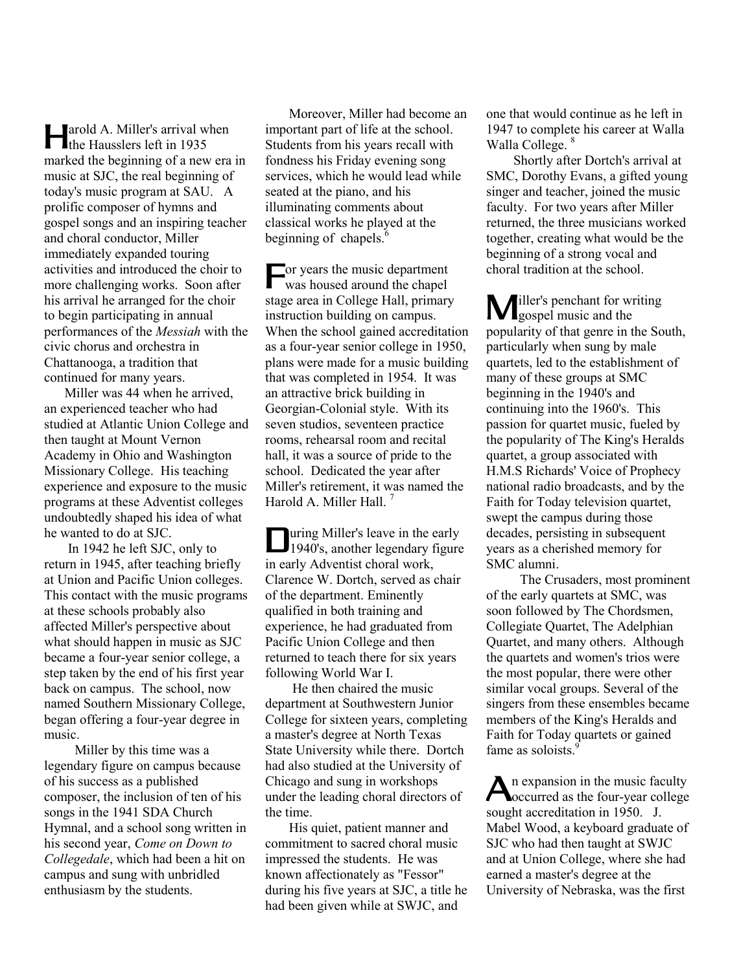arold A. Miller's arrival when **A** arold A. Miller's arrival with Hausslers left in 1935 marked the beginning of a new era in music at SJC, the real beginning of today's music program at SAU. A prolific composer of hymns and gospel songs and an inspiring teacher and choral conductor, Miller immediately expanded touring activities and introduced the choir to more challenging works. Soon after his arrival he arranged for the choir to begin participating in annual performances of the *Messiah* with the civic chorus and orchestra in Chattanooga, a tradition that continued for many years.

 Miller was 44 when he arrived, an experienced teacher who had studied at Atlantic Union College and then taught at Mount Vernon Academy in Ohio and Washington Missionary College. His teaching experience and exposure to the music programs at these Adventist colleges undoubtedly shaped his idea of what he wanted to do at SJC.

 In 1942 he left SJC, only to return in 1945, after teaching briefly at Union and Pacific Union colleges. This contact with the music programs at these schools probably also affected Miller's perspective about what should happen in music as SJC became a four-year senior college, a step taken by the end of his first year back on campus. The school, now named Southern Missionary College, began offering a four-year degree in music.

 Miller by this time was a legendary figure on campus because of his success as a published composer, the inclusion of ten of his songs in the 1941 SDA Church Hymnal, and a school song written in his second year, *Come on Down to Collegedale*, which had been a hit on campus and sung with unbridled enthusiasm by the students.

 Moreover, Miller had become an important part of life at the school. Students from his years recall with fondness his Friday evening song services, which he would lead while seated at the piano, and his illuminating comments about classical works he played at the beginning of chapels. $<sup>6</sup>$ </sup>

or years the music department **For years the music department**<br>was housed around the chapel stage area in College Hall, primary instruction building on campus. When the school gained accreditation as a four-year senior college in 1950, plans were made for a music building that was completed in 1954. It was an attractive brick building in Georgian-Colonial style. With its seven studios, seventeen practice rooms, rehearsal room and recital hall, it was a source of pride to the school. Dedicated the year after Miller's retirement, it was named the Harold A. Miller Hall.<sup>7</sup>

uring Miller's leave in the early **During Miller's leave in the early<br>1940's, another legendary figure** in early Adventist choral work, Clarence W. Dortch, served as chair of the department. Eminently qualified in both training and experience, he had graduated from Pacific Union College and then returned to teach there for six years following World War I.

 He then chaired the music department at Southwestern Junior College for sixteen years, completing a master's degree at North Texas State University while there. Dortch had also studied at the University of Chicago and sung in workshops under the leading choral directors of the time.

 His quiet, patient manner and commitment to sacred choral music impressed the students. He was known affectionately as "Fessor" during his five years at SJC, a title he had been given while at SWJC, and

one that would continue as he left in 1947 to complete his career at Walla Walla College.<sup>8</sup>

 Shortly after Dortch's arrival at SMC, Dorothy Evans, a gifted young singer and teacher, joined the music faculty. For two years after Miller returned, the three musicians worked together, creating what would be the beginning of a strong vocal and choral tradition at the school.

iller's penchant for writing **M** iller's penchant for wrote popularity of that genre in the South, particularly when sung by male quartets, led to the establishment of many of these groups at SMC beginning in the 1940's and continuing into the 1960's. This passion for quartet music, fueled by the popularity of The King's Heralds quartet, a group associated with H.M.S Richards' Voice of Prophecy national radio broadcasts, and by the Faith for Today television quartet, swept the campus during those decades, persisting in subsequent years as a cherished memory for SMC alumni.

 The Crusaders, most prominent of the early quartets at SMC, was soon followed by The Chordsmen, Collegiate Quartet, The Adelphian Quartet, and many others. Although the quartets and women's trios were the most popular, there were other similar vocal groups. Several of the singers from these ensembles became members of the King's Heralds and Faith for Today quartets or gained fame as soloists.<sup>9</sup>

An expansion in the music faculty<br> **A**ccurred as the four-year college occurred as the four-year college sought accreditation in 1950. J. Mabel Wood, a keyboard graduate of SJC who had then taught at SWJC and at Union College, where she had earned a master's degree at the University of Nebraska, was the first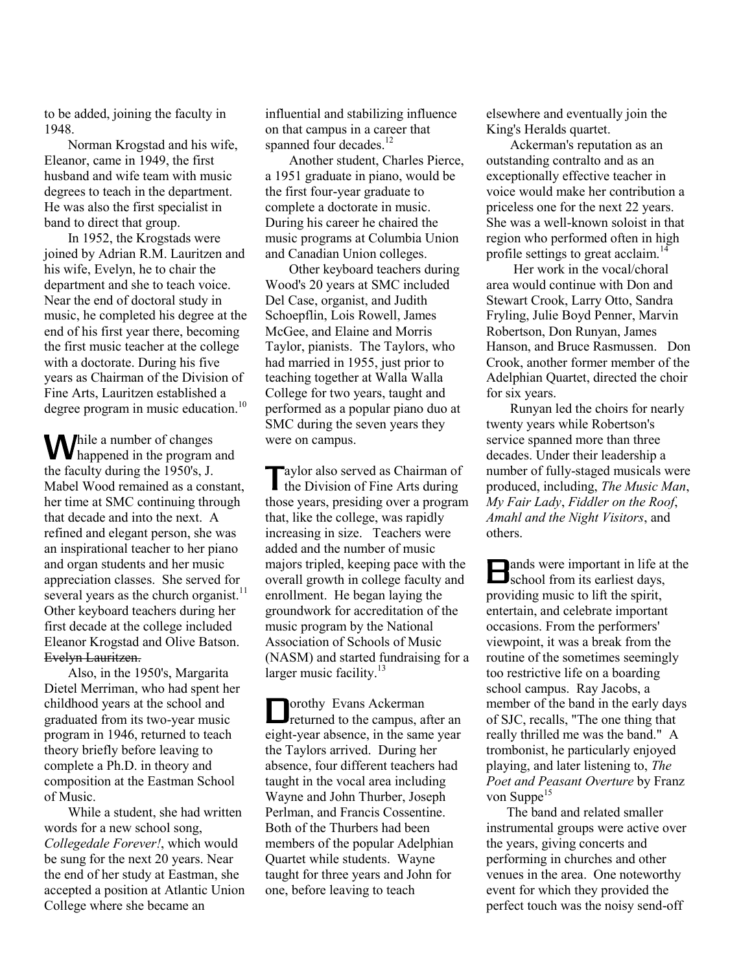to be added, joining the faculty in 1948.

 Norman Krogstad and his wife, Eleanor, came in 1949, the first husband and wife team with music degrees to teach in the department. He was also the first specialist in band to direct that group.

 In 1952, the Krogstads were joined by Adrian R.M. Lauritzen and his wife, Evelyn, he to chair the department and she to teach voice. Near the end of doctoral study in music, he completed his degree at the end of his first year there, becoming the first music teacher at the college with a doctorate. During his five years as Chairman of the Division of Fine Arts, Lauritzen established a degree program in music education.<sup>10</sup>

hile a number of changes **W** happened in the program and the faculty during the 1950's, J. Mabel Wood remained as a constant, her time at SMC continuing through that decade and into the next. A refined and elegant person, she was an inspirational teacher to her piano and organ students and her music appreciation classes. She served for several years as the church organist.<sup>11</sup> Other keyboard teachers during her first decade at the college included Eleanor Krogstad and Olive Batson. Evelyn Lauritzen.

 Also, in the 1950's, Margarita Dietel Merriman, who had spent her childhood years at the school and graduated from its two-year music program in 1946, returned to teach theory briefly before leaving to complete a Ph.D. in theory and composition at the Eastman School of Music.

 While a student, she had written words for a new school song, *Collegedale Forever!*, which would be sung for the next 20 years. Near the end of her study at Eastman, she accepted a position at Atlantic Union College where she became an

influential and stabilizing influence on that campus in a career that spanned four decades.<sup>12</sup>

 Another student, Charles Pierce, a 1951 graduate in piano, would be the first four-year graduate to complete a doctorate in music. During his career he chaired the music programs at Columbia Union and Canadian Union colleges.

 Other keyboard teachers during Wood's 20 years at SMC included Del Case, organist, and Judith Schoepflin, Lois Rowell, James McGee, and Elaine and Morris Taylor, pianists. The Taylors, who had married in 1955, just prior to teaching together at Walla Walla College for two years, taught and performed as a popular piano duo at SMC during the seven years they were on campus.

aylor also served as Chairman of Taylor also served as Chairman of<br>the Division of Fine Arts during those years, presiding over a program that, like the college, was rapidly increasing in size. Teachers were added and the number of music majors tripled, keeping pace with the overall growth in college faculty and enrollment. He began laying the groundwork for accreditation of the music program by the National Association of Schools of Music (NASM) and started fundraising for a larger music facility.<sup>13</sup>

orothy Evans Ackerman **D**orothy Evans Ackerman<br>returned to the campus, after an eight-year absence, in the same year the Taylors arrived. During her absence, four different teachers had taught in the vocal area including Wayne and John Thurber, Joseph Perlman, and Francis Cossentine. Both of the Thurbers had been members of the popular Adelphian Quartet while students. Wayne taught for three years and John for one, before leaving to teach

elsewhere and eventually join the King's Heralds quartet.

 Ackerman's reputation as an outstanding contralto and as an exceptionally effective teacher in voice would make her contribution a priceless one for the next 22 years. She was a well-known soloist in that region who performed often in high profile settings to great acclaim.<sup>14</sup>

 Her work in the vocal/choral area would continue with Don and Stewart Crook, Larry Otto, Sandra Fryling, Julie Boyd Penner, Marvin Robertson, Don Runyan, James Hanson, and Bruce Rasmussen. Don Crook, another former member of the Adelphian Quartet, directed the choir for six years.

 Runyan led the choirs for nearly twenty years while Robertson's service spanned more than three decades. Under their leadership a number of fully-staged musicals were produced, including, *The Music Man*, *My Fair Lady*, *Fiddler on the Roof*, *Amahl and the Night Visitors*, and others.

ands were important in life at the **B** ands were important in life at school from its earliest days, providing music to lift the spirit, entertain, and celebrate important occasions. From the performers' viewpoint, it was a break from the routine of the sometimes seemingly too restrictive life on a boarding school campus. Ray Jacobs, a member of the band in the early days of SJC, recalls, "The one thing that really thrilled me was the band." A trombonist, he particularly enjoyed playing, and later listening to, *The Poet and Peasant Overture* by Franz von Suppe $15$ 

 The band and related smaller instrumental groups were active over the years, giving concerts and performing in churches and other venues in the area. One noteworthy event for which they provided the perfect touch was the noisy send-off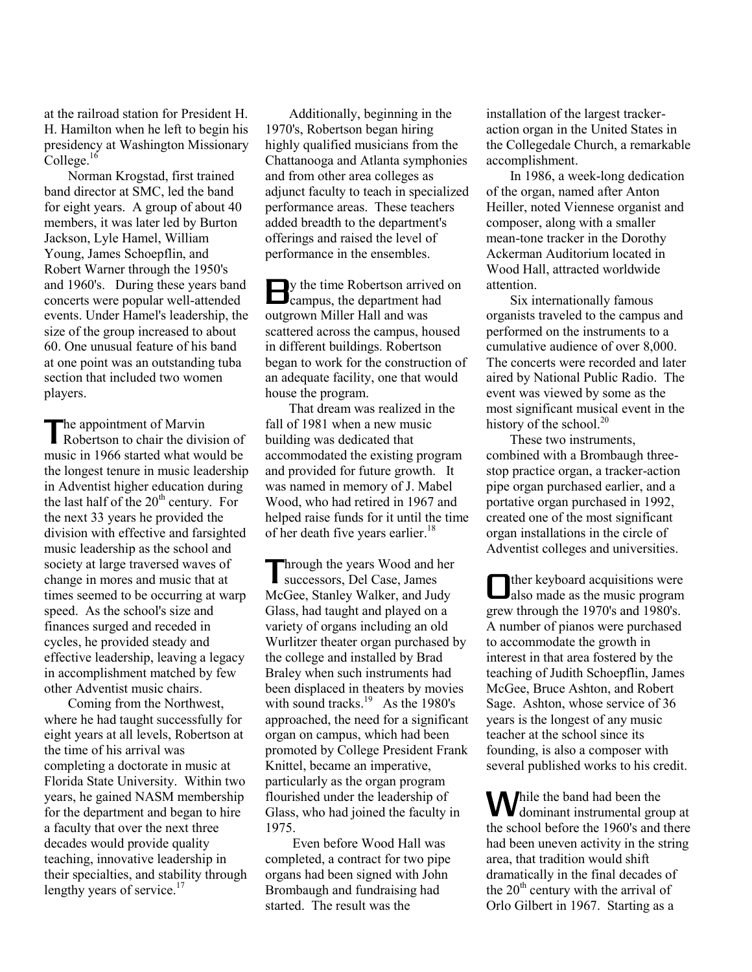at the railroad station for President H. H. Hamilton when he left to begin his presidency at Washington Missionary  $\mathrm{College.}^{16}$ 

 Norman Krogstad, first trained band director at SMC, led the band for eight years. A group of about 40 members, it was later led by Burton Jackson, Lyle Hamel, William Young, James Schoepflin, and Robert Warner through the 1950's and 1960's. During these years band concerts were popular well-attended events. Under Hamel's leadership, the size of the group increased to about 60. One unusual feature of his band at one point was an outstanding tuba section that included two women players.

he appointment of Marvin The appointment of Marvin<br>Robertson to chair the division of music in 1966 started what would be the longest tenure in music leadership in Adventist higher education during the last half of the  $20<sup>th</sup>$  century. For the next 33 years he provided the division with effective and farsighted music leadership as the school and society at large traversed waves of change in mores and music that at times seemed to be occurring at warp speed. As the school's size and finances surged and receded in cycles, he provided steady and effective leadership, leaving a legacy in accomplishment matched by few other Adventist music chairs.

 Coming from the Northwest, where he had taught successfully for eight years at all levels, Robertson at the time of his arrival was completing a doctorate in music at Florida State University. Within two years, he gained NASM membership for the department and began to hire a faculty that over the next three decades would provide quality teaching, innovative leadership in their specialties, and stability through lengthy years of service. $17$ 

 Additionally, beginning in the 1970's, Robertson began hiring highly qualified musicians from the Chattanooga and Atlanta symphonies and from other area colleges as adjunct faculty to teach in specialized performance areas. These teachers added breadth to the department's offerings and raised the level of performance in the ensembles.

y the time Robertson arrived on By the time Robertson arrived<br>
campus, the department had outgrown Miller Hall and was scattered across the campus, housed in different buildings. Robertson began to work for the construction of an adequate facility, one that would house the program.

 That dream was realized in the fall of 1981 when a new music building was dedicated that accommodated the existing program and provided for future growth. It was named in memory of J. Mabel Wood, who had retired in 1967 and helped raise funds for it until the time of her death five years earlier.<sup>18</sup>

Through the years Wood and her<br>
McGee, Stanley Walker, and Judy<br>
Lals successors, Del Case, James McGee, Stanley Walker, and Judy Glass, had taught and played on a variety of organs including an old Wurlitzer theater organ purchased by the college and installed by Brad Braley when such instruments had been displaced in theaters by movies with sound tracks. $19$  As the 1980's approached, the need for a significant organ on campus, which had been promoted by College President Frank Knittel, became an imperative, particularly as the organ program flourished under the leadership of Glass, who had joined the faculty in 1975.

 Even before Wood Hall was completed, a contract for two pipe organs had been signed with John Brombaugh and fundraising had started. The result was the

installation of the largest trackeraction organ in the United States in the Collegedale Church, a remarkable accomplishment.

 In 1986, a week-long dedication of the organ, named after Anton Heiller, noted Viennese organist and composer, along with a smaller mean-tone tracker in the Dorothy Ackerman Auditorium located in Wood Hall, attracted worldwide attention.

 Six internationally famous organists traveled to the campus and performed on the instruments to a cumulative audience of over 8,000. The concerts were recorded and later aired by National Public Radio. The event was viewed by some as the most significant musical event in the history of the school.<sup>20</sup>

 These two instruments, combined with a Brombaugh threestop practice organ, a tracker-action pipe organ purchased earlier, and a portative organ purchased in 1992, created one of the most significant organ installations in the circle of Adventist colleges and universities.

ther keyboard acquisitions were also made as the music program grew through the 1970's and 1980's. A number of pianos were purchased to accommodate the growth in interest in that area fostered by the teaching of Judith Schoepflin, James McGee, Bruce Ashton, and Robert Sage. Ashton, whose service of 36 years is the longest of any music teacher at the school since its founding, is also a composer with several published works to his credit.

hile the band had been the **W**hile the band had been the dominant instrumental group at the school before the 1960's and there had been uneven activity in the string area, that tradition would shift dramatically in the final decades of the  $20<sup>th</sup>$  century with the arrival of Orlo Gilbert in 1967. Starting as a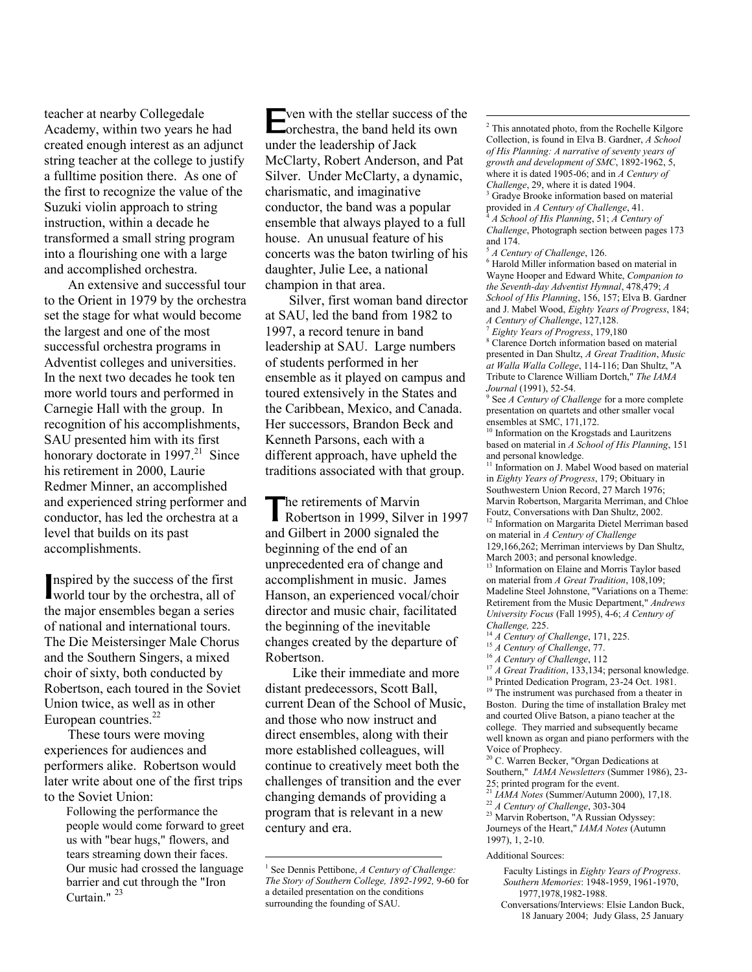teacher at nearby Collegedale Academy, within two years he had created enough interest as an adjunct string teacher at the college to justify a fulltime position there. As one of the first to recognize the value of the Suzuki violin approach to string instruction, within a decade he transformed a small string program into a flourishing one with a large and accomplished orchestra.

 An extensive and successful tour to the Orient in 1979 by the orchestra set the stage for what would become the largest and one of the most successful orchestra programs in Adventist colleges and universities. In the next two decades he took ten more world tours and performed in Carnegie Hall with the group. In recognition of his accomplishments, SAU presented him with its first honorary doctorate in  $1997.<sup>21</sup>$  Since his retirement in 2000, Laurie Redmer Minner, an accomplished and experienced string performer and conductor, has led the orchestra at a level that builds on its past accomplishments.

nspired by the success of the first world tour by the orchestra, all of I the major ensembles began a series of national and international tours. The Die Meistersinger Male Chorus and the Southern Singers, a mixed choir of sixty, both conducted by Robertson, each toured in the Soviet Union twice, as well as in other European countries.<sup>22</sup>

 These tours were moving experiences for audiences and performers alike. Robertson would later write about one of the first trips to the Soviet Union:

> Following the performance the people would come forward to greet us with "bear hugs," flowers, and tears streaming down their faces. Our music had crossed the language barrier and cut through the "Iron Curtain."<sup>23</sup>

**Example 1** with the stellar success of the orchestra, the band held its own orchestra, the band held its own under the leadership of Jack McClarty, Robert Anderson, and Pat Silver. Under McClarty, a dynamic, charismatic, and imaginative conductor, the band was a popular ensemble that always played to a full house. An unusual feature of his concerts was the baton twirling of his daughter, Julie Lee, a national champion in that area.

 Silver, first woman band director at SAU, led the band from 1982 to 1997, a record tenure in band leadership at SAU. Large numbers of students performed in her ensemble as it played on campus and toured extensively in the States and the Caribbean, Mexico, and Canada. Her successors, Brandon Beck and Kenneth Parsons, each with a different approach, have upheld the traditions associated with that group.

The retirements of Marvin<br>Robertson in 1999, Silver Robertson in 1999, Silver in 1997 and Gilbert in 2000 signaled the beginning of the end of an unprecedented era of change and accomplishment in music. James Hanson, an experienced vocal/choir director and music chair, facilitated the beginning of the inevitable changes created by the departure of Robertson.

 Like their immediate and more distant predecessors, Scott Ball, current Dean of the School of Music, and those who now instruct and direct ensembles, along with their more established colleagues, will continue to creatively meet both the challenges of transition and the ever changing demands of providing a program that is relevant in a new century and era.

 $\overline{a}$ 

 $\overline{a}$  $2$  This annotated photo, from the Rochelle Kilgore Collection, is found in Elva B. Gardner, *A School of His Planning: A narrative of seventy years of growth and development of SMC*, 1892-1962, 5, where it is dated 1905-06; and in *A Century of Challenge*, 29, where it is dated 1904. Gradye Brooke information based on material

provided in *A Century of Challenge*, 41. <sup>4</sup> *A School of His Planning*, 51; *A Century of Challenge*, Photograph section between pages 173

and 174. <sup>5</sup> *A Century of Challenge*, 126.

<sup>6</sup> Harold Miller information based on material in Wayne Hooper and Edward White, *Companion to the Seventh-day Adventist Hymnal*, 478,479; *A School of His Planning*, 156, 157; Elva B. Gardner and J. Mabel Wood, *Eighty Years of Progress*, 184; *A Century of Challenge*, 127,128.

<sup>7</sup> *Eighty Years of Progress*, 179,180 <sup>8</sup> Clarence Dortch information based on material presented in Dan Shultz, *A Great Tradition*, *Music at Walla Walla College*, 114-116; Dan Shultz, "A Tribute to Clarence William Dortch," *The IAMA Journal* (1991), 52-54.

9 See *A Century of Challenge* for a more complete presentation on quartets and other smaller vocal ensembles at SMC, 171,172.

<sup>10</sup> Information on the Krogstads and Lauritzens based on material in *A School of His Planning*, 151 and personal knowledge.

<sup>11</sup> Information on J. Mabel Wood based on material in *Eighty Years of Progress*, 179; Obituary in Southwestern Union Record, 27 March 1976; Marvin Robertson, Margarita Merriman, and Chloe Foutz, Conversations with Dan Shultz, 2002. <sup>12</sup> Information on Margarita Dietel Merriman based on material in *A Century of Challenge*  129,166,262; Merriman interviews by Dan Shultz,

March 2003; and personal knowledge.

<sup>13</sup> Information on Elaine and Morris Taylor based on material from *A Great Tradition*, 108,109; Madeline Steel Johnstone, "Variations on a Theme: Retirement from the Music Department," *Andrews University Focus* (Fall 1995), 4-6; *A Century of Challenge,* 225.

- <sup>14</sup> *A Century of Challenge*, 171, 225.
- <sup>15</sup> *A Century of Challenge*, 77.
- <sup>16</sup> *A Century of Challenge*, 112

<sup>18</sup> Printed Dedication Program, 23-24 Oct. 1981. <sup>19</sup> The instrument was purchased from a theater in Boston. During the time of installation Braley met and courted Olive Batson, a piano teacher at the college. They married and subsequently became

well known as organ and piano performers with the Voice of Prophecy.

<sup>20</sup> C. Warren Becker, "Organ Dedications at Southern," *IAMA Newsletters* (Summer 1986), 23- 25; printed program for the event.

<sup>21</sup> *IAMA Notes* (Summer/Autumn 2000), 17,18.

<sup>22</sup> *A Century of Challenge*, 303-304

<sup>23</sup> Marvin Robertson, "A Russian Odyssey: Journeys of the Heart," *IAMA Notes* (Autumn 1997), 1, 2-10.

## Additional Sources:

 Faculty Listings in *Eighty Years of Progress*. *Southern Memories*: 1948-1959, 1961-1970, 1977,1978,1982-1988.

 Conversations/Interviews: Elsie Landon Buck, 18 January 2004; Judy Glass, 25 January

<sup>1</sup> See Dennis Pettibone, *A Century of Challenge: The Story of Southern College, 1892-1992,* 9-60 for a detailed presentation on the conditions surrounding the founding of SAU.

<sup>&</sup>lt;sup>17</sup> *A Great Tradition*, 133, 134; personal knowledge.